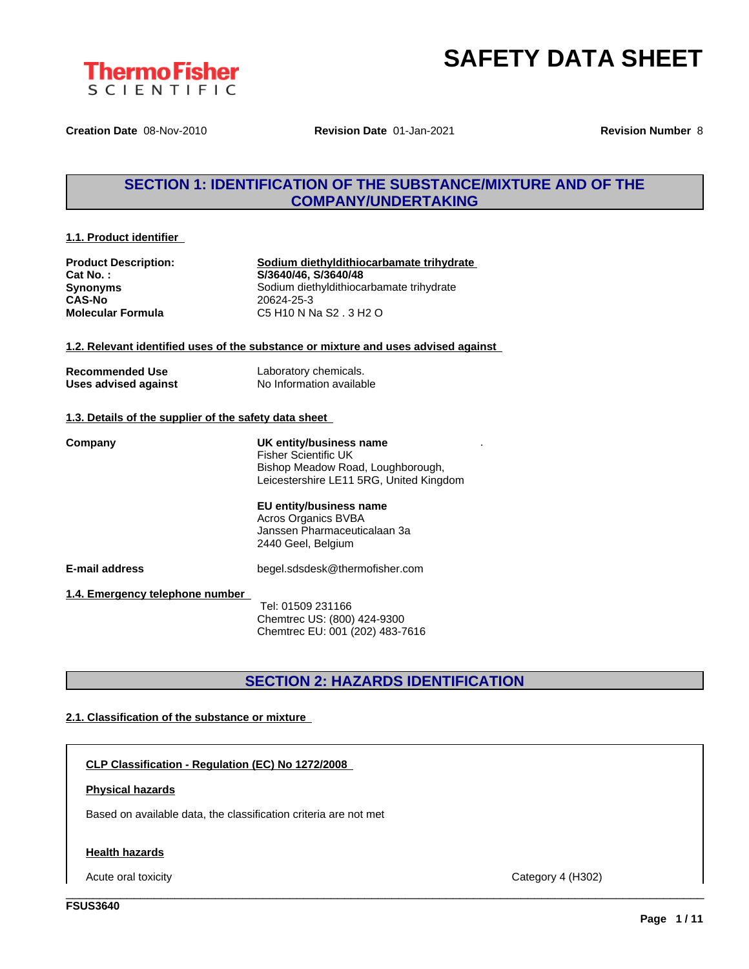

**Creation Date** 08-Nov-2010 **Revision Date** 01-Jan-2021 **Revision Number** 8

### **SECTION 1: IDENTIFICATION OF THE SUBSTANCE/MIXTURE AND OF THE COMPANY/UNDERTAKING**

### **1.1. Product identifier**

| <b>Product Description:</b> |
|-----------------------------|
| Cat No.:                    |
| <b>Synonyms</b>             |
| <b>CAS-No</b>               |
| <b>Molecular Formula</b>    |

**Product Description: Sodium diethyldithiocarbamate trihydrate Cat No. : S/3640/46, S/3640/48** Sodium diethyldithiocarbamate trihydrate **CAS-No** 20624-25-3 **Molecular Formula** C5 H10 N Na S2 . 3 H2 O

### **1.2. Relevant identified uses of the substance or mixture and uses advised against**

| <b>Recommended Use</b> | Laboratory chemicals.    |
|------------------------|--------------------------|
| Uses advised against   | No Information available |

### **1.3. Details of the supplier of the safety data sheet**

**E-mail address** begel.sdsdesk@thermofisher.com **1.4. Emergency telephone number Company UK entity/business name** Fisher Scientific UK Bishop Meadow Road, Loughborough, Leicestershire LE11 5RG, United Kingdom **EU entity/business name** Acros Organics BVBA Janssen Pharmaceuticalaan 3a 2440 Geel, Belgium

Tel: 01509 231166 Chemtrec US: (800) 424-9300 Chemtrec EU: 001 (202) 483-7616

### **SECTION 2: HAZARDS IDENTIFICATION**

\_\_\_\_\_\_\_\_\_\_\_\_\_\_\_\_\_\_\_\_\_\_\_\_\_\_\_\_\_\_\_\_\_\_\_\_\_\_\_\_\_\_\_\_\_\_\_\_\_\_\_\_\_\_\_\_\_\_\_\_\_\_\_\_\_\_\_\_\_\_\_\_\_\_\_\_\_\_\_\_\_\_\_\_\_\_\_\_\_\_\_\_\_\_

### **2.1. Classification of the substance or mixture**

**CLP Classification - Regulation (EC) No 1272/2008**

### **Physical hazards**

Based on available data, the classification criteria are not met

### **Health hazards**

Acute oral toxicity Category 4 (H302)

.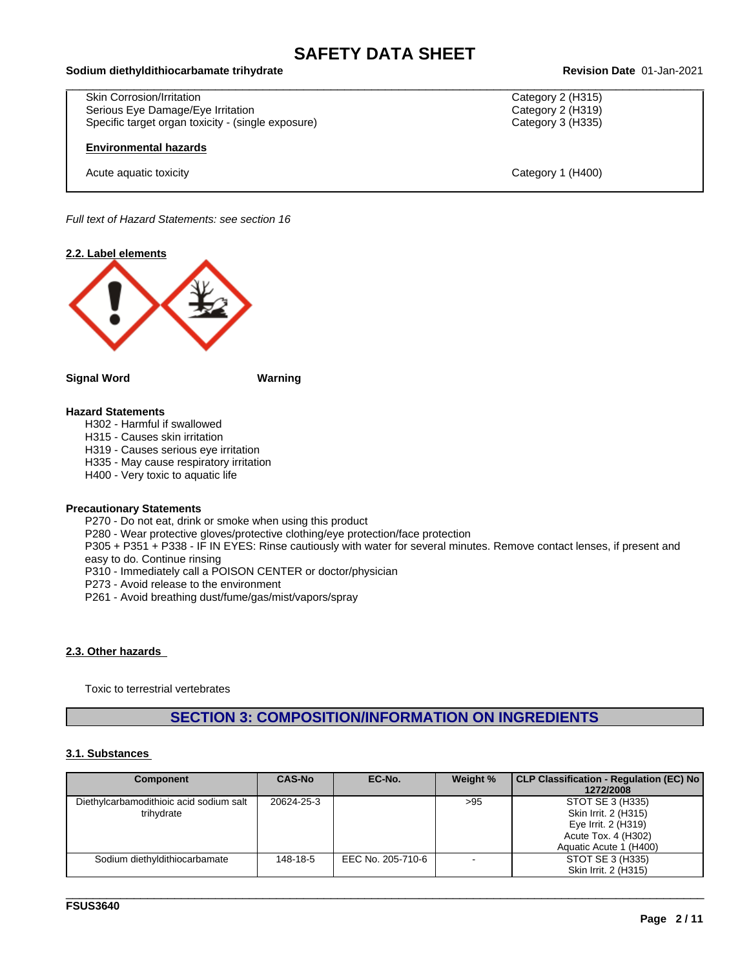# \_\_\_\_\_\_\_\_\_\_\_\_\_\_\_\_\_\_\_\_\_\_\_\_\_\_\_\_\_\_\_\_\_\_\_\_\_\_\_\_\_\_\_\_\_\_\_\_\_\_\_\_\_\_\_\_\_\_\_\_\_\_\_\_\_\_\_\_\_\_\_\_\_\_\_\_\_\_\_\_\_\_\_\_\_\_\_\_\_\_\_\_\_\_ **Sodium diethyldithiocarbamate trihydrate Revision Date** 01-Jan-2021

Skin Corrosion/Irritation Serious Eye Damage/Eye Irritation **Category 2 (H319)** Category 2 (H319) Specific target organ toxicity - (single exposure) Category 3 (H335)

### **Environmental hazards**

Acute aquatic toxicity Category 1 (H400)

*Full text of Hazard Statements: see section 16*



### **Signal Word Warning**

### **Hazard Statements**

H302 - Harmful if swallowed

- H315 Causes skin irritation
- H319 Causes serious eye irritation

H335 - May cause respiratory irritation

H400 - Very toxic to aquatic life

### **Precautionary Statements**

P270 - Do not eat, drink or smoke when using this product

P280 - Wear protective gloves/protective clothing/eye protection/face protection

P305 + P351 + P338 - IF IN EYES: Rinse cautiously with water for several minutes. Remove contact lenses, if present and easy to do. Continue rinsing

P310 - Immediately call a POISON CENTER or doctor/physician

P273 - Avoid release to the environment

P261 - Avoid breathing dust/fume/gas/mist/vapors/spray

### **2.3. Other hazards**

Toxic to terrestrial vertebrates

### **SECTION 3: COMPOSITION/INFORMATION ON INGREDIENTS**

### **3.1. Substances**

| Component                                             | <b>CAS-No</b> | EC-No.            | Weight % | CLP Classification - Regulation (EC) No<br>1272/2008                                                             |
|-------------------------------------------------------|---------------|-------------------|----------|------------------------------------------------------------------------------------------------------------------|
| Diethylcarbamodithioic acid sodium salt<br>trihvdrate | 20624-25-3    |                   | >95      | STOT SE 3 (H335)<br>Skin Irrit. 2 (H315)<br>Eye Irrit. 2 (H319)<br>Acute Tox. 4 (H302)<br>Aquatic Acute 1 (H400) |
| Sodium diethyldithiocarbamate                         | 148-18-5      | EEC No. 205-710-6 |          | STOT SE 3 (H335)<br>Skin Irrit. 2 (H315)                                                                         |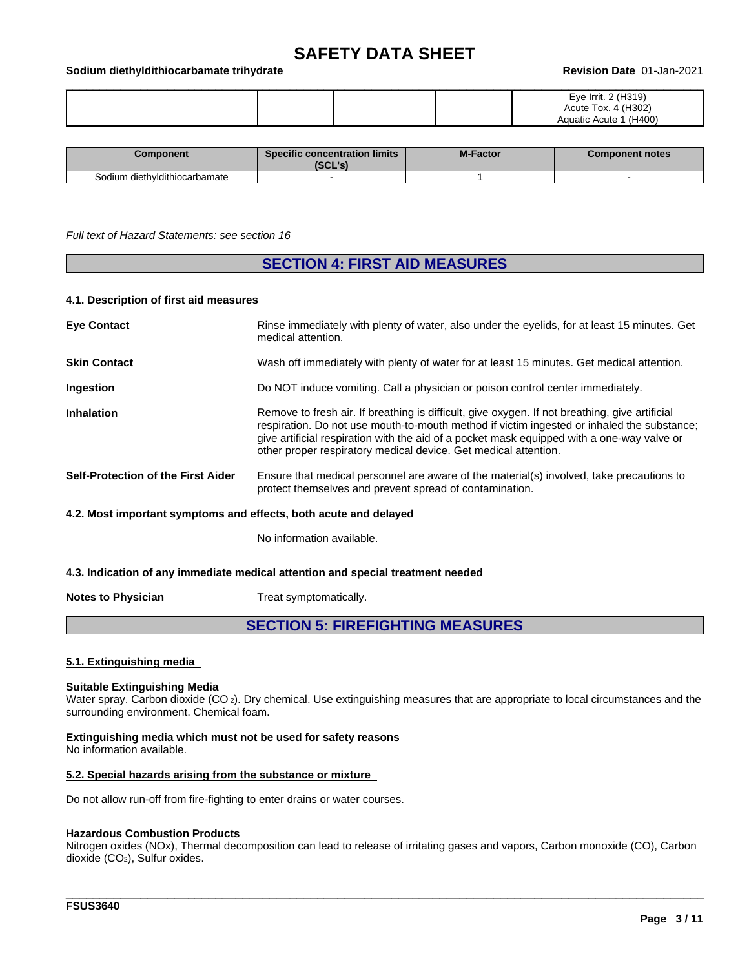#### \_\_\_\_\_\_\_\_\_\_\_\_\_\_\_\_\_\_\_\_\_\_\_\_\_\_\_\_\_\_\_\_\_\_\_\_\_\_\_\_\_\_\_\_\_\_\_\_\_\_\_\_\_\_\_\_\_\_\_\_\_\_\_\_\_\_\_\_\_\_\_\_\_\_\_\_\_\_\_\_\_\_\_\_\_\_\_\_\_\_\_\_\_\_ **Sodium diethyldithiocarbamate trihydrate Revision Date** 01-Jan-2021

|  | $\sim$<br>$\overline{\phantom{a}}$<br>טו שו<br>$\sim$ $\sim$<br>Acute<br>$\sim$<br>$\sim$<br>$^{\prime\prime}$<br>w |
|--|---------------------------------------------------------------------------------------------------------------------|
|--|---------------------------------------------------------------------------------------------------------------------|

| Component                     | <b>Specific concentration limits</b><br>IJUL 5 | <b>M-Factor</b> | Component notes |
|-------------------------------|------------------------------------------------|-----------------|-----------------|
| Sodium diethyldithiocarbamate |                                                |                 |                 |

#### *Full text of Hazard Statements: see section 16*

### **SECTION 4: FIRST AID MEASURES**

### **4.1. Description of first aid measures**

| <b>Eye Contact</b>                                               | Rinse immediately with plenty of water, also under the eyelids, for at least 15 minutes. Get<br>medical attention.                                                                                                                                                                                                                                            |
|------------------------------------------------------------------|---------------------------------------------------------------------------------------------------------------------------------------------------------------------------------------------------------------------------------------------------------------------------------------------------------------------------------------------------------------|
| <b>Skin Contact</b>                                              | Wash off immediately with plenty of water for at least 15 minutes. Get medical attention.                                                                                                                                                                                                                                                                     |
| Ingestion                                                        | Do NOT induce vomiting. Call a physician or poison control center immediately.                                                                                                                                                                                                                                                                                |
| <b>Inhalation</b>                                                | Remove to fresh air. If breathing is difficult, give oxygen. If not breathing, give artificial<br>respiration. Do not use mouth-to-mouth method if victim ingested or inhaled the substance;<br>give artificial respiration with the aid of a pocket mask equipped with a one-way valve or<br>other proper respiratory medical device. Get medical attention. |
| Self-Protection of the First Aider                               | Ensure that medical personnel are aware of the material(s) involved, take precautions to<br>protect themselves and prevent spread of contamination.                                                                                                                                                                                                           |
| 4.2. Most important symptoms and effects, both acute and delayed |                                                                                                                                                                                                                                                                                                                                                               |

No information available.

### **4.3. Indication of any immediate medical attention and special treatment needed**

**Notes to Physician** Treat symptomatically.

### **SECTION 5: FIREFIGHTING MEASURES**

#### **5.1. Extinguishing media**

#### **Suitable Extinguishing Media**

Water spray. Carbon dioxide (CO<sub>2</sub>). Dry chemical. Use extinguishing measures that are appropriate to local circumstances and the surrounding environment. Chemical foam.

**Extinguishing media which must not be used for safety reasons** No information available.

#### **5.2. Special hazards arising from the substance or mixture**

Do not allow run-off from fire-fighting to enter drains or water courses.

### **Hazardous Combustion Products**

Nitrogen oxides (NOx), Thermal decomposition can lead to release of irritating gases and vapors, Carbon monoxide (CO), Carbon dioxide (CO2), Sulfur oxides.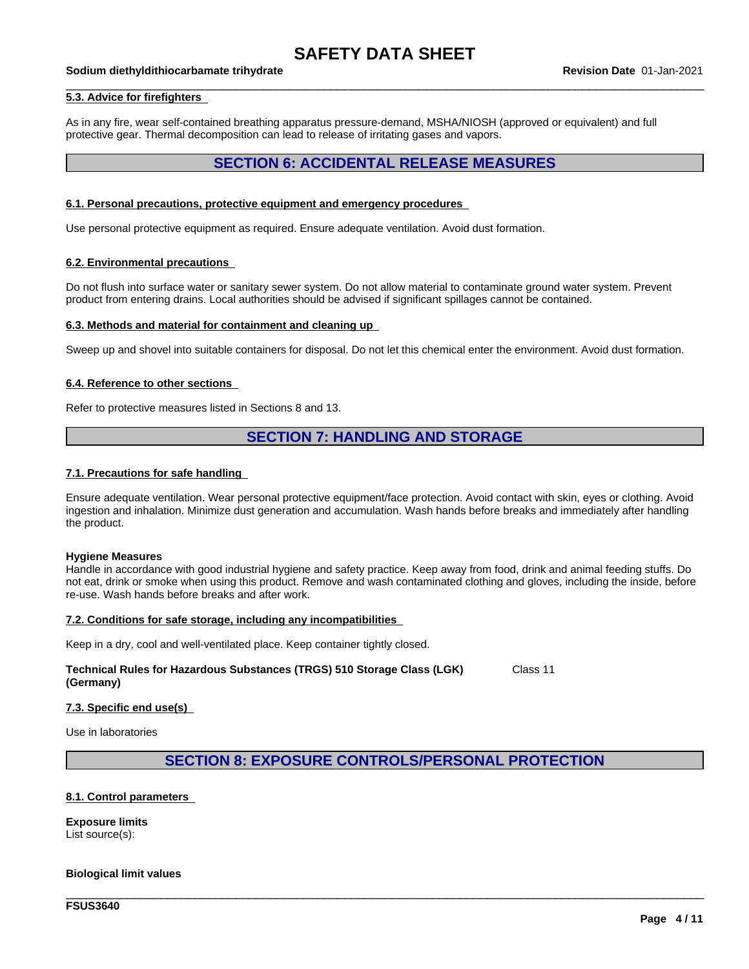#### \_\_\_\_\_\_\_\_\_\_\_\_\_\_\_\_\_\_\_\_\_\_\_\_\_\_\_\_\_\_\_\_\_\_\_\_\_\_\_\_\_\_\_\_\_\_\_\_\_\_\_\_\_\_\_\_\_\_\_\_\_\_\_\_\_\_\_\_\_\_\_\_\_\_\_\_\_\_\_\_\_\_\_\_\_\_\_\_\_\_\_\_\_\_ **Sodium diethyldithiocarbamate trihydrate Revision Date** 01-Jan-2021

### **5.3. Advice for firefighters**

As in any fire, wear self-contained breathing apparatus pressure-demand, MSHA/NIOSH (approved or equivalent) and full protective gear. Thermal decomposition can lead to release of irritating gases and vapors.

### **SECTION 6: ACCIDENTAL RELEASE MEASURES**

#### **6.1. Personal precautions, protective equipment and emergency procedures**

Use personal protective equipment as required.Ensure adequate ventilation. Avoid dust formation.

### **6.2. Environmental precautions**

Do not flush into surface water or sanitary sewer system. Do not allow material to contaminate ground water system. Prevent product from entering drains. Local authorities should be advised if significant spillages cannot be contained.

### **6.3. Methods and material for containment and cleaning up**

Sweep up and shovel into suitable containers for disposal. Do not let this chemical enter the environment. Avoid dust formation.

#### **6.4. Reference to other sections**

Refer to protective measures listed in Sections 8 and 13.

### **SECTION 7: HANDLING AND STORAGE**

### **7.1. Precautions for safe handling**

Ensure adequate ventilation. Wear personal protective equipment/face protection. Avoid contact with skin, eyes or clothing. Avoid ingestion and inhalation. Minimize dust generation and accumulation. Wash hands before breaks and immediately after handling the product.

#### **Hygiene Measures**

Handle in accordance with good industrial hygiene and safety practice. Keep away from food, drink and animal feeding stuffs. Do not eat, drink or smoke when using this product. Remove and wash contaminated clothing and gloves, including the inside, before re-use. Wash hands before breaks and after work.

### **7.2. Conditions for safe storage, including any incompatibilities**

Keep in a dry, cool and well-ventilated place. Keep container tightly closed.

#### **Technical Rules for Hazardous Substances (TRGS) 510 Storage Class (LGK) (Germany)** Class 11

#### **7.3. Specific end use(s)**

Use in laboratories

### **SECTION 8: EXPOSURE CONTROLS/PERSONAL PROTECTION**

\_\_\_\_\_\_\_\_\_\_\_\_\_\_\_\_\_\_\_\_\_\_\_\_\_\_\_\_\_\_\_\_\_\_\_\_\_\_\_\_\_\_\_\_\_\_\_\_\_\_\_\_\_\_\_\_\_\_\_\_\_\_\_\_\_\_\_\_\_\_\_\_\_\_\_\_\_\_\_\_\_\_\_\_\_\_\_\_\_\_\_\_\_\_

### **8.1. Control parameters**

**Exposure limits** List source(s):

### **Biological limit values**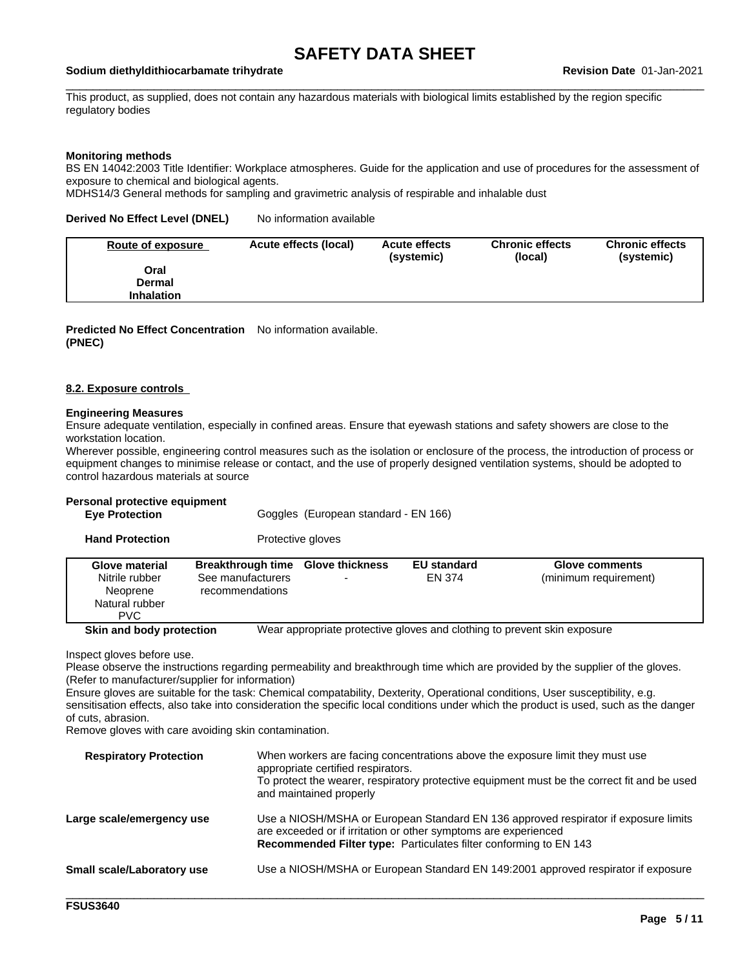#### \_\_\_\_\_\_\_\_\_\_\_\_\_\_\_\_\_\_\_\_\_\_\_\_\_\_\_\_\_\_\_\_\_\_\_\_\_\_\_\_\_\_\_\_\_\_\_\_\_\_\_\_\_\_\_\_\_\_\_\_\_\_\_\_\_\_\_\_\_\_\_\_\_\_\_\_\_\_\_\_\_\_\_\_\_\_\_\_\_\_\_\_\_\_ **Sodium diethyldithiocarbamate trihydrate Revision Date** 01-Jan-2021

This product, as supplied, does not contain any hazardous materials with biological limits established by the region specific regulatory bodies

### **Monitoring methods**

BS EN 14042:2003 Title Identifier: Workplace atmospheres. Guide for the application and use of procedures for the assessment of exposure to chemical and biological agents.

MDHS14/3 General methods for sampling and gravimetric analysis of respirable and inhalable dust

**Derived No Effect Level (DNEL)** No information available

| Route of exposure | Acute effects (local) | <b>Acute effects</b><br>(systemic) | <b>Chronic effects</b><br>(local) | <b>Chronic effects</b><br>(systemic) |
|-------------------|-----------------------|------------------------------------|-----------------------------------|--------------------------------------|
| Oral              |                       |                                    |                                   |                                      |
| Dermal            |                       |                                    |                                   |                                      |
| <b>Inhalation</b> |                       |                                    |                                   |                                      |

**Predicted No Effect Concentration** No information available. **(PNEC)**

#### **8.2. Exposure controls**

### **Engineering Measures**

Ensure adequate ventilation, especially in confined areas. Ensure that eyewash stations and safety showers are close to the workstation location.

Wherever possible, engineering control measures such as the isolation or enclosure of the process, the introduction of process or equipment changes to minimise release or contact, and the use of properly designed ventilation systems, should be adopted to control hazardous materials at source

### **Personal protective equipment**

| <b>Eye Protection</b> | Goggles (European standard - EN 166) |
|-----------------------|--------------------------------------|
|                       |                                      |

|  | Glove material<br>Nitrile rubber<br>Neoprene<br>Natural rubber<br><b>PVC</b> | Breakthrough time<br>See manufacturers<br>recommendations | <b>Glove thickness</b> | <b>EU standard</b><br>EN 374 | <b>Glove comments</b><br>(minimum requirement) |
|--|------------------------------------------------------------------------------|-----------------------------------------------------------|------------------------|------------------------------|------------------------------------------------|
|--|------------------------------------------------------------------------------|-----------------------------------------------------------|------------------------|------------------------------|------------------------------------------------|

**Skin and body protection** Wear appropriate protective gloves and clothing to prevent skin exposure

Inspect gloves before use.

Please observe the instructions regarding permeability and breakthrough time which are provided by the supplier of the gloves. (Refer to manufacturer/supplier for information)

Ensure gloves are suitable for the task: Chemical compatability, Dexterity, Operational conditions, User susceptibility, e.g. sensitisation effects, also take into consideration the specific local conditions under which the product is used, such as the danger of cuts, abrasion.

Remove gloves with care avoiding skin contamination.

| <b>Respiratory Protection</b>     | When workers are facing concentrations above the exposure limit they must use<br>appropriate certified respirators.<br>To protect the wearer, respiratory protective equipment must be the correct fit and be used<br>and maintained properly |
|-----------------------------------|-----------------------------------------------------------------------------------------------------------------------------------------------------------------------------------------------------------------------------------------------|
| Large scale/emergency use         | Use a NIOSH/MSHA or European Standard EN 136 approved respirator if exposure limits<br>are exceeded or if irritation or other symptoms are experienced<br>Recommended Filter type: Particulates filter conforming to EN 143                   |
| <b>Small scale/Laboratory use</b> | Use a NIOSH/MSHA or European Standard EN 149:2001 approved respirator if exposure                                                                                                                                                             |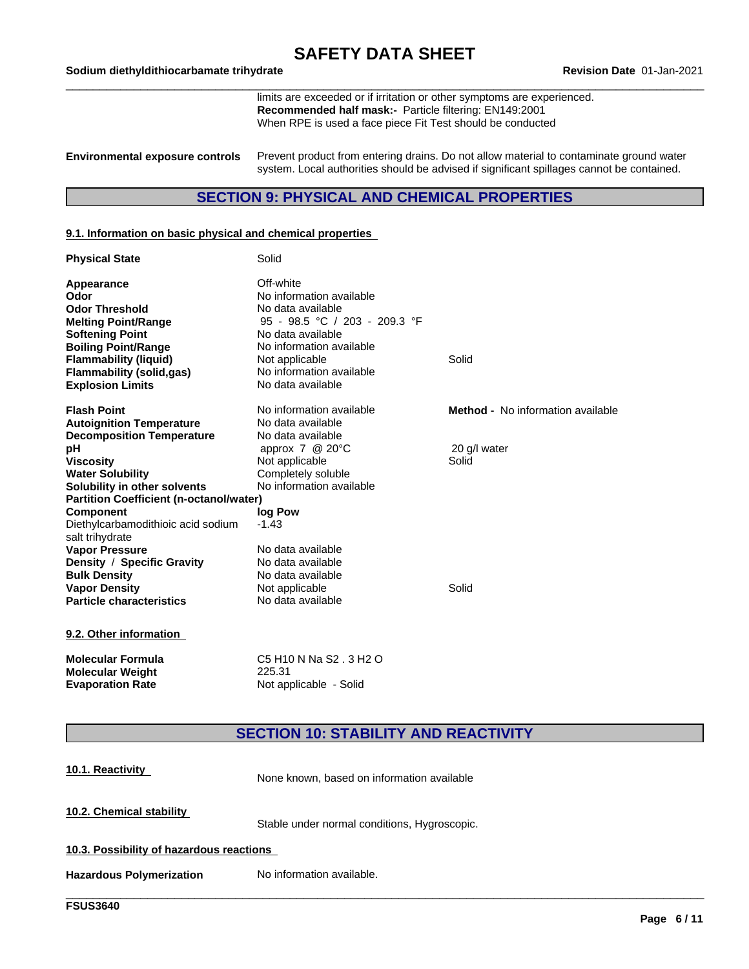**Molecular Weight** 225.31<br>**Evaporation Rate** Not approach

limits are exceeded or if irritation or other symptoms are experienced. **Recommended half mask:-** Particle filtering: EN149:2001 When RPE is used a face piece Fit Test should be conducted

**Environmental exposure controls** Prevent product from entering drains. Do not allow material to contaminate ground water system. Local authorities should be advised if significant spillages cannot be contained.

### **SECTION 9: PHYSICAL AND CHEMICAL PROPERTIES**

### **9.1. Information on basic physical and chemical properties**

| <b>Physical State</b>                          | Solid                                  |                                          |
|------------------------------------------------|----------------------------------------|------------------------------------------|
| <b>Appearance</b>                              | Off-white                              |                                          |
| Odor                                           | No information available               |                                          |
| <b>Odor Threshold</b>                          | No data available                      |                                          |
| <b>Melting Point/Range</b>                     | 95 - 98.5 °C / 203 - 209.3 °F          |                                          |
| <b>Softening Point</b>                         | No data available                      |                                          |
| <b>Boiling Point/Range</b>                     | No information available               |                                          |
| <b>Flammability (liquid)</b>                   | Not applicable                         | Solid                                    |
| <b>Flammability (solid,gas)</b>                | No information available               |                                          |
| <b>Explosion Limits</b>                        | No data available                      |                                          |
| <b>Flash Point</b>                             | No information available               | <b>Method -</b> No information available |
| <b>Autoignition Temperature</b>                | No data available                      |                                          |
| <b>Decomposition Temperature</b>               | No data available                      |                                          |
| рH                                             | approx $7 \text{ } @$ 20 $\text{ }°$ C | 20 g/l water                             |
| <b>Viscosity</b>                               | Not applicable                         | Solid                                    |
| <b>Water Solubility</b>                        | Completely soluble                     |                                          |
| Solubility in other solvents                   | No information available               |                                          |
| <b>Partition Coefficient (n-octanol/water)</b> |                                        |                                          |
| <b>Component</b>                               | log Pow                                |                                          |
| Diethylcarbamodithioic acid sodium             | $-1.43$                                |                                          |
| salt trihydrate                                |                                        |                                          |
| <b>Vapor Pressure</b>                          | No data available                      |                                          |
| Density / Specific Gravity                     | No data available                      |                                          |
| <b>Bulk Density</b>                            | No data available                      |                                          |
| <b>Vapor Density</b>                           | Not applicable                         | Solid                                    |
| <b>Particle characteristics</b>                | No data available                      |                                          |
| 9.2. Other information                         |                                        |                                          |
| <b>Molecular Formula</b>                       | C5 H10 N Na S2, 3 H2 O                 |                                          |

### **SECTION 10: STABILITY AND REACTIVITY**

| 10.1. Reactivity                         | None known, based on information available   |
|------------------------------------------|----------------------------------------------|
| 10.2. Chemical stability                 | Stable under normal conditions, Hygroscopic. |
| 10.3. Possibility of hazardous reactions |                                              |
| <b>Hazardous Polymerization</b>          | No information available.                    |
|                                          |                                              |

**Not applicable - Solid**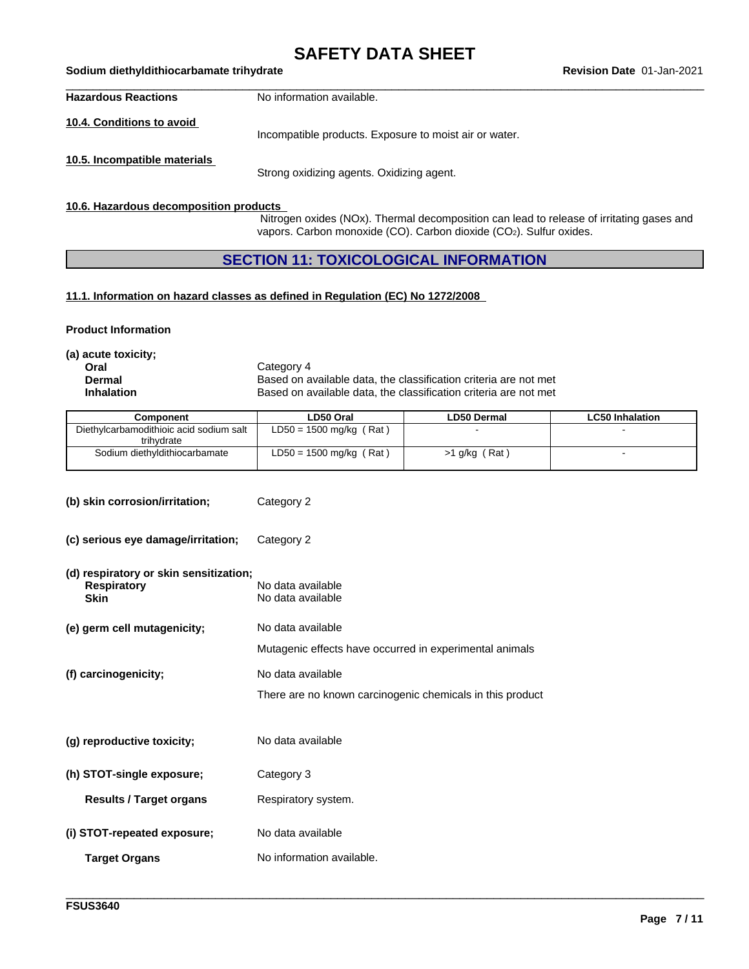## **SAFETY DATA SHEET**<br>Revision Date 01-Jan-2021

| <b>Hazardous Reactions</b>   | No information available.                              |
|------------------------------|--------------------------------------------------------|
| 10.4. Conditions to avoid    | Incompatible products. Exposure to moist air or water. |
| 10.5. Incompatible materials | Strong oxidizing agents. Oxidizing agent.              |

### **10.6. Hazardous decomposition products**

\_\_\_\_\_\_\_\_\_\_\_\_\_\_\_\_\_\_\_\_\_\_\_\_\_\_\_\_\_\_\_\_\_\_\_\_\_\_\_\_\_\_\_\_\_\_\_\_\_\_\_\_\_\_\_\_\_\_\_\_\_\_\_\_\_\_\_\_\_\_\_\_\_\_\_\_\_\_\_\_\_\_\_\_\_\_\_\_\_\_\_\_\_\_ **Sodium diethyldithiocarbamate trihydrate Revision Date** 01-Jan-2021

Nitrogen oxides (NOx). Thermal decomposition can lead to release of irritating gases and vapors. Carbon monoxide (CO). Carbon dioxide (CO2). Sulfur oxides.

### **SECTION 11: TOXICOLOGICAL INFORMATION**

### **11.1. Information on hazard classes as defined in Regulation (EC) No 1272/2008**

### **Product Information**

**(a) acute toxicity;**

**Oral** Category 4<br> **Dermal** Category 4<br> **Dermal** Category 6 **Dermal** Based on available data, the classification criteria are not met<br> **Inhalation** Based on available data, the classification criteria are not met Based on available data, the classification criteria are not met

| Component                                             | LD50 Oral                 | <b>LD50 Dermal</b> | <b>LC50 Inhalation</b> |
|-------------------------------------------------------|---------------------------|--------------------|------------------------|
| Diethylcarbamodithioic acid sodium salt<br>trihvdrate | $LD50 = 1500$ mg/kg (Rat) |                    |                        |
| Sodium diethyldithiocarbamate                         | $LD50 = 1500$ mg/kg (Rat) | Rat<br>, g/kg      |                        |

| (b) skin corrosion/irritation;                                              | Category 2                                                |
|-----------------------------------------------------------------------------|-----------------------------------------------------------|
| (c) serious eye damage/irritation;                                          | Category 2                                                |
| (d) respiratory or skin sensitization;<br><b>Respiratory</b><br><b>Skin</b> | No data available<br>No data available                    |
| (e) germ cell mutagenicity;                                                 | No data available                                         |
|                                                                             | Mutagenic effects have occurred in experimental animals   |
| (f) carcinogenicity;                                                        | No data available                                         |
|                                                                             | There are no known carcinogenic chemicals in this product |
| (g) reproductive toxicity;                                                  | No data available                                         |
| (h) STOT-single exposure;                                                   | Category 3                                                |
| <b>Results / Target organs</b>                                              | Respiratory system.                                       |
| (i) STOT-repeated exposure;                                                 | No data available                                         |
| <b>Target Organs</b>                                                        | No information available.                                 |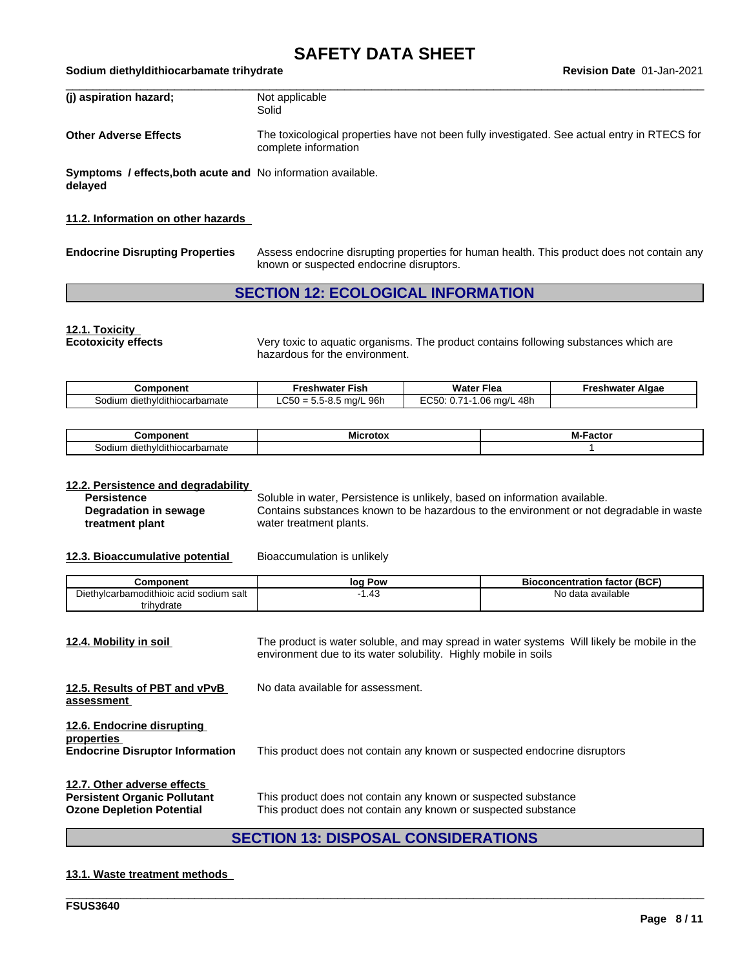| (j) aspiration hazard;                                                  | Not applicable<br>Solid                                                                                              |
|-------------------------------------------------------------------------|----------------------------------------------------------------------------------------------------------------------|
| <b>Other Adverse Effects</b>                                            | The toxicological properties have not been fully investigated. See actual entry in RTECS for<br>complete information |
| Symptoms / effects, both acute and No information available.<br>delaved |                                                                                                                      |

### **11.2. Information on other hazards**

|  | <b>Endocrine Disrupting Properties</b> |  |
|--|----------------------------------------|--|
|--|----------------------------------------|--|

**Endocrine Disrupting Properties** Assess endocrine disrupting properties for human health. This product does not contain any known or suspected endocrine disruptors.

### **SECTION 12: ECOLOGICAL INFORMATION**

### **12.1. Toxicity**

**Ecotoxicity effects** Very toxic to aquatic organisms. The product contains following substances which are hazardous for the environment.

| Component                        | Freshwater Fish                                                                                                      | <br>Flea<br>Water                                 | Algae<br>Freshwater |
|----------------------------------|----------------------------------------------------------------------------------------------------------------------|---------------------------------------------------|---------------------|
| diethyldithiocarbamate<br>sodium | 96h<br>$\Omega$ $\Gamma$<br>$\sim$ $\sim$<br>$5 \text{ rad/L}$<br>$-$ ບວ $0 = 1$<br><u>ь н</u><br>. <del>.</del><br> | 48h<br>$\overline{ }$<br>.06<br>$-$<br>ma/L<br>U. |                     |

| ∖onent<br>.                                    | ---<br>MH<br>ľН | -- -<br>$\sim$<br>66.LI |
|------------------------------------------------|-----------------|-------------------------|
| sodium<br>dithiocarbamate<br>dieth<br>וער<br>. |                 |                         |

## **12.2. Persistence and degradability**

**Degradation in sewage treatment plant**

Soluble in water, Persistence is unlikely, based on information available. Contains substances known to be hazardous to the environment or not degradable in waste water treatment plants.

**12.3. Bioaccumulative potential** Bioaccumulation is unlikely

| Component                               | Pow<br>loq | <b>Bioconcentration factor (BCF)</b> |
|-----------------------------------------|------------|--------------------------------------|
| Diethylcarbamodithioic acid sodium salt | . 43       | No data available                    |
| trihydrate                              |            |                                      |

| <u>12.4. Mobility in soil</u>                                                                          | The product is water soluble, and may spread in water systems Will likely be mobile in the<br>environment due to its water solubility. Highly mobile in soils |
|--------------------------------------------------------------------------------------------------------|---------------------------------------------------------------------------------------------------------------------------------------------------------------|
| 12.5. Results of PBT and vPvB<br>assessment                                                            | No data available for assessment.                                                                                                                             |
| 12.6. Endocrine disrupting<br>properties<br><b>Endocrine Disruptor Information</b>                     | This product does not contain any known or suspected endocrine disruptors                                                                                     |
| 12.7. Other adverse effects<br><b>Persistent Organic Pollutant</b><br><b>Ozone Depletion Potential</b> | This product does not contain any known or suspected substance<br>This product does not contain any known or suspected substance                              |

### **SECTION 13: DISPOSAL CONSIDERATIONS**

\_\_\_\_\_\_\_\_\_\_\_\_\_\_\_\_\_\_\_\_\_\_\_\_\_\_\_\_\_\_\_\_\_\_\_\_\_\_\_\_\_\_\_\_\_\_\_\_\_\_\_\_\_\_\_\_\_\_\_\_\_\_\_\_\_\_\_\_\_\_\_\_\_\_\_\_\_\_\_\_\_\_\_\_\_\_\_\_\_\_\_\_\_\_

### **13.1. Waste treatment methods**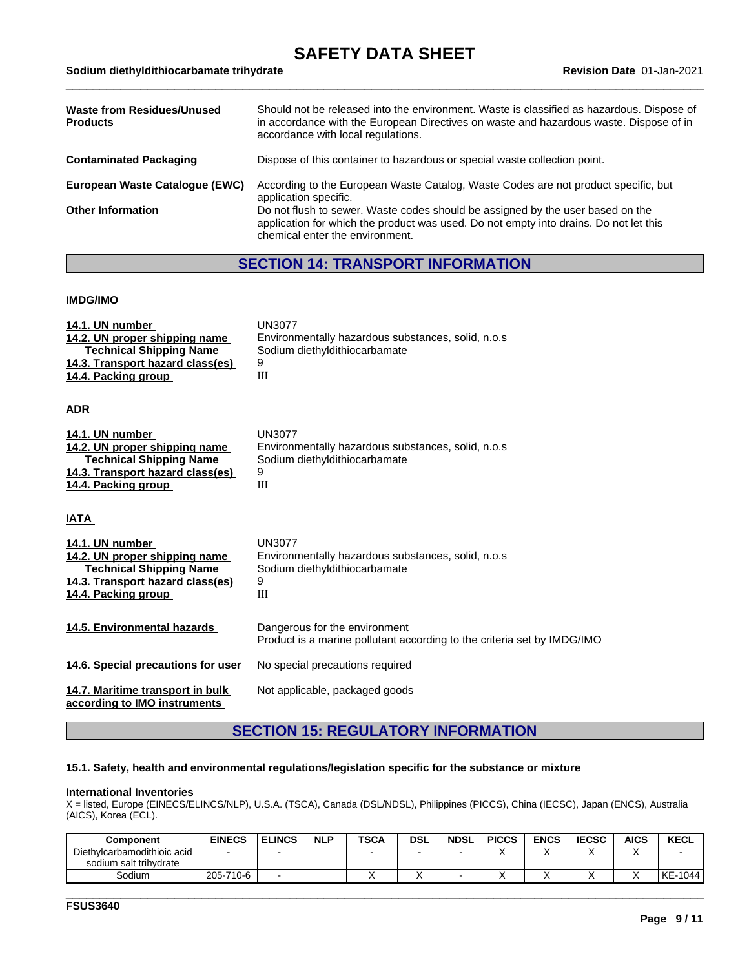| Waste from Residues/Unused<br><b>Products</b> | Should not be released into the environment. Waste is classified as hazardous. Dispose of<br>in accordance with the European Directives on waste and hazardous waste. Dispose of in<br>accordance with local regulations. |
|-----------------------------------------------|---------------------------------------------------------------------------------------------------------------------------------------------------------------------------------------------------------------------------|
| Contaminated Packaging                        | Dispose of this container to hazardous or special waste collection point.                                                                                                                                                 |
| European Waste Catalogue (EWC)                | According to the European Waste Catalog, Waste Codes are not product specific, but<br>application specific.                                                                                                               |
| <b>Other Information</b>                      | Do not flush to sewer. Waste codes should be assigned by the user based on the<br>application for which the product was used. Do not empty into drains. Do not let this                                                   |

chemical enter the environment.

### **SECTION 14: TRANSPORT INFORMATION**

### **IMDG/IMO**

| 14.1. UN number<br>14.2. UN proper shipping name<br><b>Technical Shipping Name</b><br>14.3. Transport hazard class(es)<br>14.4. Packing group | <b>UN3077</b><br>Environmentally hazardous substances, solid, n.o.s.<br>Sodium diethyldithiocarbamate<br>9<br>III |
|-----------------------------------------------------------------------------------------------------------------------------------------------|-------------------------------------------------------------------------------------------------------------------|
| ADR                                                                                                                                           |                                                                                                                   |
| 14.1. UN number<br>14.2. UN proper shipping name<br><b>Technical Shipping Name</b><br>14.3. Transport hazard class(es)<br>14.4. Packing group | <b>UN3077</b><br>Environmentally hazardous substances, solid, n.o.s<br>Sodium diethyldithiocarbamate<br>9<br>III  |
| <b>ATAI</b>                                                                                                                                   |                                                                                                                   |
| 14.1. UN number<br>14.2. UN proper shipping name<br><b>Technical Shipping Name</b><br>14.3. Transport hazard class(es)<br>14.4. Packing group | <b>UN3077</b><br>Environmentally hazardous substances, solid, n.o.s<br>Sodium diethyldithiocarbamate<br>9<br>Ш    |
| 14.5. Environmental hazards                                                                                                                   | Dangerous for the environment<br>Product is a marine pollutant according to the criteria set by IMDG/IMO          |
| 14.6. Special precautions for user                                                                                                            | No special precautions required                                                                                   |
| 14.7. Maritime transport in bulk<br>according to IMO instruments                                                                              | Not applicable, packaged goods                                                                                    |

### **SECTION 15: REGULATORY INFORMATION**

### **15.1. Safety, health and environmental regulations/legislation specific for the substance or mixture**

#### **International Inventories**

X = listed, Europe (EINECS/ELINCS/NLP), U.S.A. (TSCA), Canada (DSL/NDSL), Philippines (PICCS), China (IECSC), Japan (ENCS), Australia (AICS), Korea (ECL).

| Component                   | <b>EINECS</b> | <b>ELINCS</b> | <b>NLP</b> | <b>TSC/</b> | <b>DSL</b> | <b>NDSL</b> | <b>PICCS</b> | <b>ENCS</b> | <b>IECSC</b> | <b>AICS</b> | <b>KECL</b> |
|-----------------------------|---------------|---------------|------------|-------------|------------|-------------|--------------|-------------|--------------|-------------|-------------|
| Diethylcarbamodithioic acid |               |               |            |             |            |             |              |             |              |             |             |
| sodium salt trihvdrate      |               |               |            |             |            |             |              |             |              |             |             |
| Sodium                      | 205-710-6     |               |            |             |            |             |              |             |              |             | KE-1044     |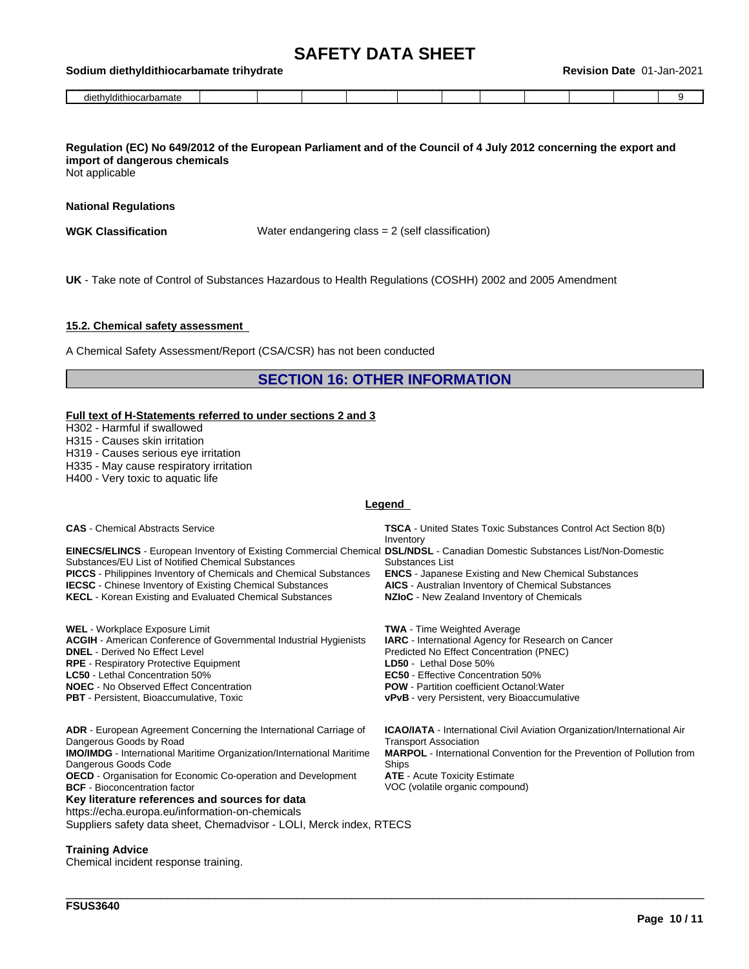|  |  | Revision Date 01-Jan-2021 |
|--|--|---------------------------|
|--|--|---------------------------|

| <b>Sodium</b><br>diethyldithiocarbamate | ≅trihvdrate |  |  |  | Revision | $01 -$<br>Date | -Jan-2021 |  |
|-----------------------------------------|-------------|--|--|--|----------|----------------|-----------|--|
| diethyldithiocarbamate                  |             |  |  |  |          |                |           |  |

### Regulation (EC) No 649/2012 of the European Parliament and of the Council of 4 July 2012 concerning the export and **import of dangerous chemicals**

Not applicable

### **National Regulations**

**WGK Classification** Water endangering class = 2 (self classification)

**UK** - Take note of Control of Substances Hazardous to Health Regulations (COSHH) 2002 and 2005 Amendment

### **15.2. Chemical safety assessment**

A Chemical Safety Assessment/Report (CSA/CSR) has not been conducted

### **SECTION 16: OTHER INFORMATION**

#### **Full text of H-Statements referred to undersections 2 and 3**

H302 - Harmful if swallowed

H315 - Causes skin irritation

H319 - Causes serious eye irritation

H335 - May cause respiratory irritation

H400 - Very toxic to aquatic life

### **Legend**

| <b>CAS</b> - Chemical Abstracts Service                                                                                                                                                                                                                                                                                                                                                                | <b>TSCA</b> - United States Toxic Substances Control Act Section 8(b)<br>Inventory                                                                                                        |  |  |  |  |  |  |
|--------------------------------------------------------------------------------------------------------------------------------------------------------------------------------------------------------------------------------------------------------------------------------------------------------------------------------------------------------------------------------------------------------|-------------------------------------------------------------------------------------------------------------------------------------------------------------------------------------------|--|--|--|--|--|--|
| EINECS/ELINCS - European Inventory of Existing Commercial Chemical DSL/NDSL - Canadian Domestic Substances List/Non-Domestic<br>Substances/EU List of Notified Chemical Substances<br><b>PICCS</b> - Philippines Inventory of Chemicals and Chemical Substances<br><b>IECSC</b> - Chinese Inventory of Existing Chemical Substances<br><b>KECL</b> - Korean Existing and Evaluated Chemical Substances | Substances List<br><b>ENCS</b> - Japanese Existing and New Chemical Substances<br><b>AICS</b> - Australian Inventory of Chemical Substances<br>NZIoC - New Zealand Inventory of Chemicals |  |  |  |  |  |  |
| <b>WEL</b> - Workplace Exposure Limit<br><b>ACGIH</b> - American Conference of Governmental Industrial Hygienists<br><b>DNEL</b> - Derived No Effect Level<br><b>RPE</b> - Respiratory Protective Equipment                                                                                                                                                                                            | <b>TWA</b> - Time Weighted Average<br><b>IARC</b> - International Agency for Research on Cancer<br>Predicted No Effect Concentration (PNEC)<br>LD50 - Lethal Dose 50%                     |  |  |  |  |  |  |
| <b>LC50</b> - Lethal Concentration 50%                                                                                                                                                                                                                                                                                                                                                                 | <b>EC50</b> - Effective Concentration 50%                                                                                                                                                 |  |  |  |  |  |  |
| <b>NOEC</b> - No Observed Effect Concentration<br><b>PBT</b> - Persistent, Bioaccumulative, Toxic                                                                                                                                                                                                                                                                                                      | <b>POW</b> - Partition coefficient Octanol: Water<br><b>vPvB</b> - very Persistent, very Bioaccumulative                                                                                  |  |  |  |  |  |  |
| <b>ADR</b> - European Agreement Concerning the International Carriage of                                                                                                                                                                                                                                                                                                                               | <b>ICAO/IATA</b> - International Civil Aviation Organization/International Air                                                                                                            |  |  |  |  |  |  |
| Dangerous Goods by Road<br><b>IMO/IMDG</b> - International Maritime Organization/International Maritime                                                                                                                                                                                                                                                                                                | <b>Transport Association</b><br><b>MARPOL</b> - International Convention for the Prevention of Pollution from                                                                             |  |  |  |  |  |  |
| Dangerous Goods Code                                                                                                                                                                                                                                                                                                                                                                                   | Ships                                                                                                                                                                                     |  |  |  |  |  |  |
| <b>OECD</b> - Organisation for Economic Co-operation and Development                                                                                                                                                                                                                                                                                                                                   | <b>ATE</b> - Acute Toxicity Estimate                                                                                                                                                      |  |  |  |  |  |  |
| <b>BCF</b> - Bioconcentration factor                                                                                                                                                                                                                                                                                                                                                                   | VOC (volatile organic compound)                                                                                                                                                           |  |  |  |  |  |  |

\_\_\_\_\_\_\_\_\_\_\_\_\_\_\_\_\_\_\_\_\_\_\_\_\_\_\_\_\_\_\_\_\_\_\_\_\_\_\_\_\_\_\_\_\_\_\_\_\_\_\_\_\_\_\_\_\_\_\_\_\_\_\_\_\_\_\_\_\_\_\_\_\_\_\_\_\_\_\_\_\_\_\_\_\_\_\_\_\_\_\_\_\_\_

**Key literature references and sources for data** https://echa.europa.eu/information-on-chemicals Suppliers safety data sheet, Chemadvisor - LOLI, Merck index, RTECS

### **Training Advice**

Chemical incident response training.